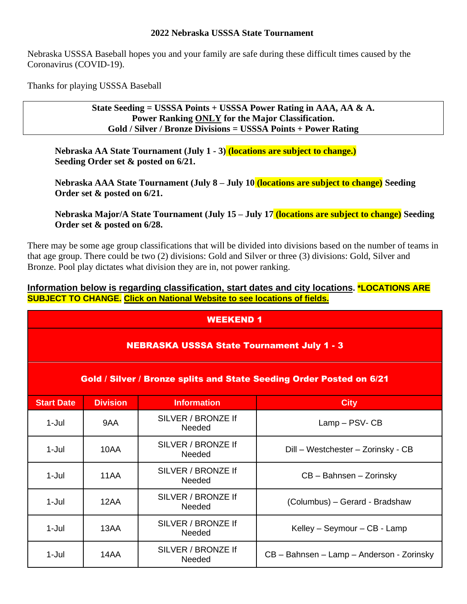### **2022 Nebraska USSSA State Tournament**

Nebraska USSSA Baseball hopes you and your family are safe during these difficult times caused by the Coronavirus (COVID-19).

Thanks for playing USSSA Baseball

**State Seeding = USSSA Points + USSSA Power Rating in AAA, AA & A. Power Ranking ONLY for the Major Classification. Gold / Silver / Bronze Divisions = USSSA Points + Power Rating**

**Nebraska AA State Tournament (July 1 - 3) (locations are subject to change.) Seeding Order set & posted on 6/21.** 

**Nebraska AAA State Tournament (July 8 – July 10 (locations are subject to change) Seeding Order set & posted on 6/21.**

**Nebraska Major/A State Tournament (July 15 – July 17 (locations are subject to change) Seeding Order set & posted on 6/28.** 

There may be some age group classifications that will be divided into divisions based on the number of teams in that age group. There could be two (2) divisions: Gold and Silver or three (3) divisions: Gold, Silver and Bronze. Pool play dictates what division they are in, not power ranking.

**Information below is regarding classification, start dates and city locations. \*LOCATIONS ARE SUBJECT TO CHANGE. Click on National Website to see locations of fields.**

#### WEEKEND 1

#### NEBRASKA USSSA State Tournament July 1 - 3

### Gold / Silver / Bronze splits and State Seeding Order Posted on 6/21

| <b>Start Date</b> | <b>Division</b> | <b>Information</b>                  | <b>City</b>                               |  |  |
|-------------------|-----------------|-------------------------------------|-------------------------------------------|--|--|
| $1 -$ Jul         | 9AA             | SILVER / BRONZE If<br><b>Needed</b> | Lamp - PSV- CB                            |  |  |
| $1-Jul$           | 10AA            | SILVER / BRONZE If<br><b>Needed</b> | Dill - Westchester - Zorinsky - CB        |  |  |
| $1 -$ Jul         | 11AA            | SILVER / BRONZE If<br><b>Needed</b> | CB - Bahnsen - Zorinsky                   |  |  |
| $1-Jul$           | 12AA            | SILVER / BRONZE If<br>Needed        | (Columbus) - Gerard - Bradshaw            |  |  |
| $1-Jul$           | 13AA            | SILVER / BRONZE If<br><b>Needed</b> | Kelley - Seymour - CB - Lamp              |  |  |
| $1-Jul$           | 14AA            | SILVER / BRONZE If<br><b>Needed</b> | CB - Bahnsen - Lamp - Anderson - Zorinsky |  |  |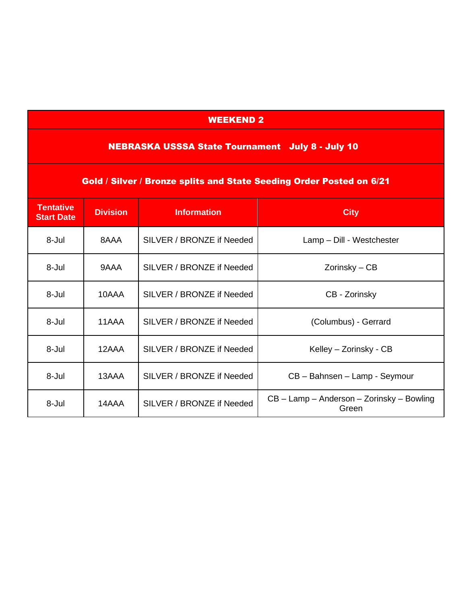# WEEKEND 2

# NEBRASKA USSSA State Tournament July 8 - July 10

| <b>Gold / Silver / Bronze splits and State Seeding Order Posted on 6/21</b> |                 |                           |                                                    |  |  |  |
|-----------------------------------------------------------------------------|-----------------|---------------------------|----------------------------------------------------|--|--|--|
| <b>Tentative</b><br><b>Start Date</b>                                       | <b>Division</b> | <b>Information</b>        | <b>City</b>                                        |  |  |  |
| 8-Jul                                                                       | 8AAA            | SILVER / BRONZE if Needed | Lamp - Dill - Westchester                          |  |  |  |
| 8-Jul                                                                       | 9AAA            | SILVER / BRONZE if Needed | Zorinsky – CB                                      |  |  |  |
| 8-Jul                                                                       | 10AAA           | SILVER / BRONZE if Needed | CB - Zorinsky                                      |  |  |  |
| 8-Jul                                                                       | 11AAA           | SILVER / BRONZE if Needed | (Columbus) - Gerrard                               |  |  |  |
| 8-Jul                                                                       | 12AAA           | SILVER / BRONZE if Needed | Kelley – Zorinsky - CB                             |  |  |  |
| 8-Jul                                                                       | 13AAA           | SILVER / BRONZE if Needed | CB - Bahnsen - Lamp - Seymour                      |  |  |  |
| 8-Jul                                                                       | 14AAA           | SILVER / BRONZE if Needed | CB – Lamp – Anderson – Zorinsky – Bowling<br>Green |  |  |  |